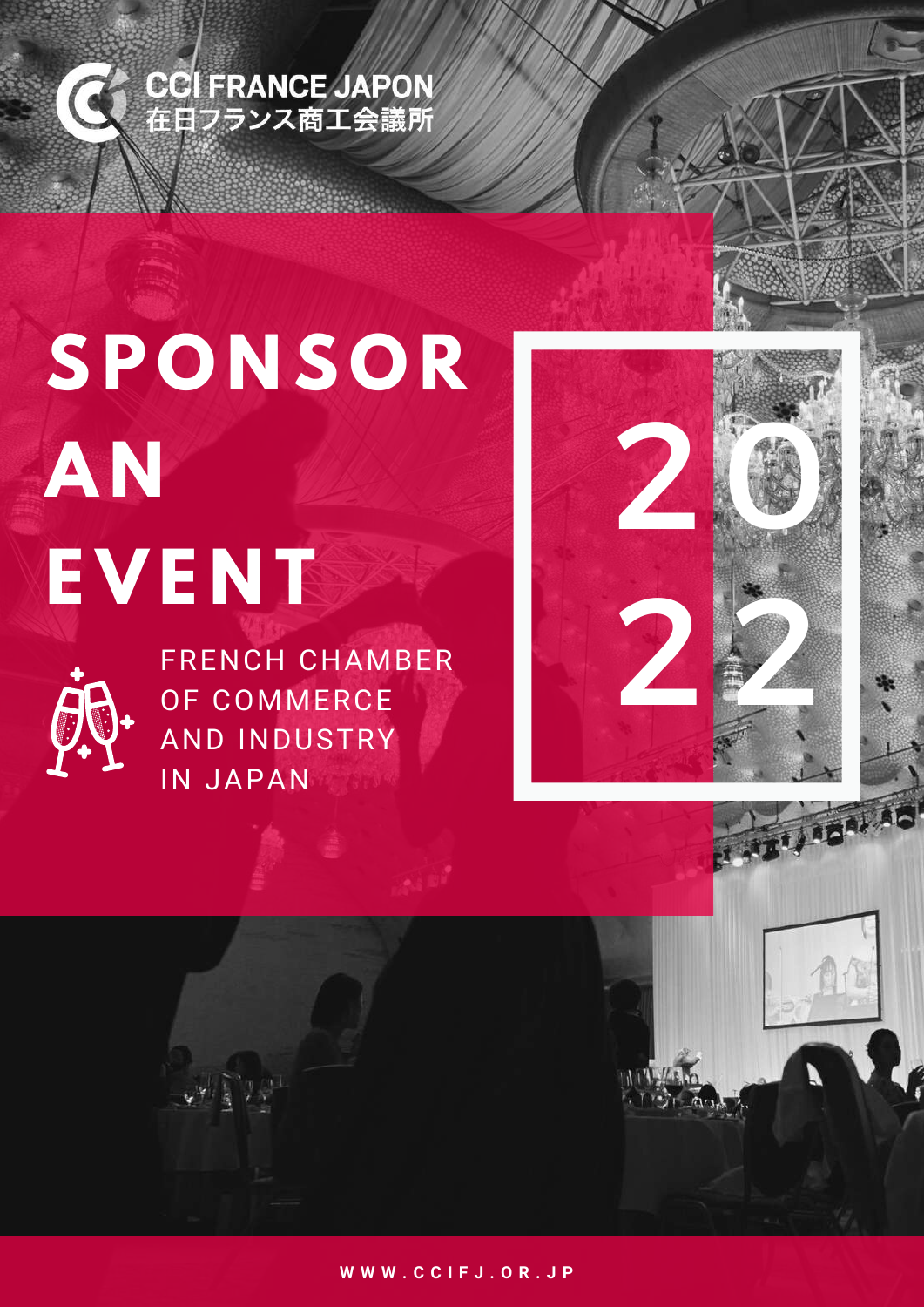

# **SP O N S O R A N E V E N T**



FRENCH CHAMBER OF COMMERCE AND INDUSTRY IN JAPAN



**W W W . C C I F J . O R . J P**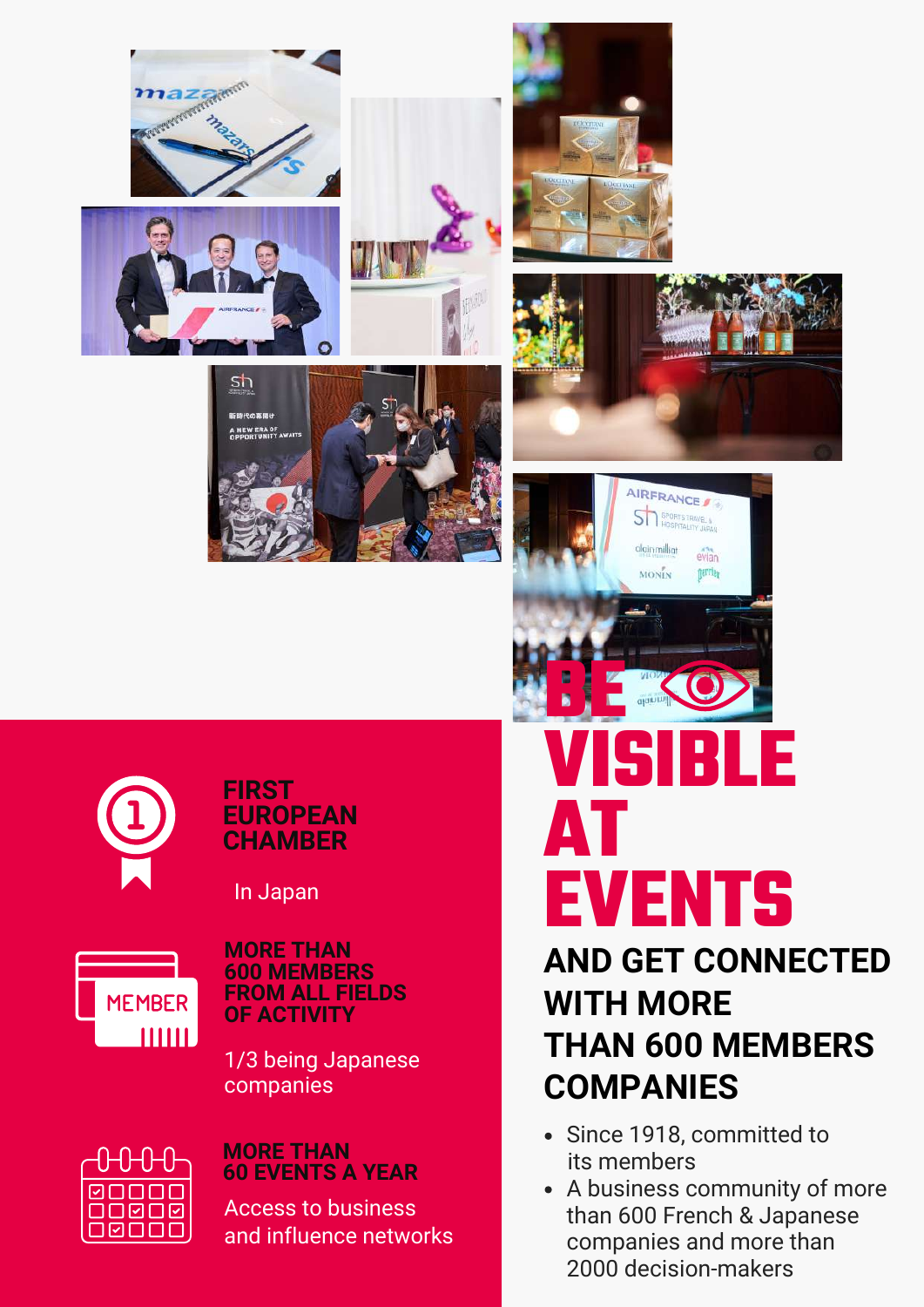















**FIRST EUROPEAN CHAMBER**

In Japan



**MORE THAN 600 MEMBERS FROM ALL FIELDS OF ACTIVITY**

1/3 being Japanese companies



#### **MORE THAN 60 EVENTS A YEAR**

Access to business and influence networks

## **VISIBLE AT EVENTS**

### **AND GET CONNECTED WITH MORE THAN 600 MEMBERS COMPANIES**

- Since 1918, committed to its members
- A business community of more than 600 French & Japanese companies and more than 2000 decision-makers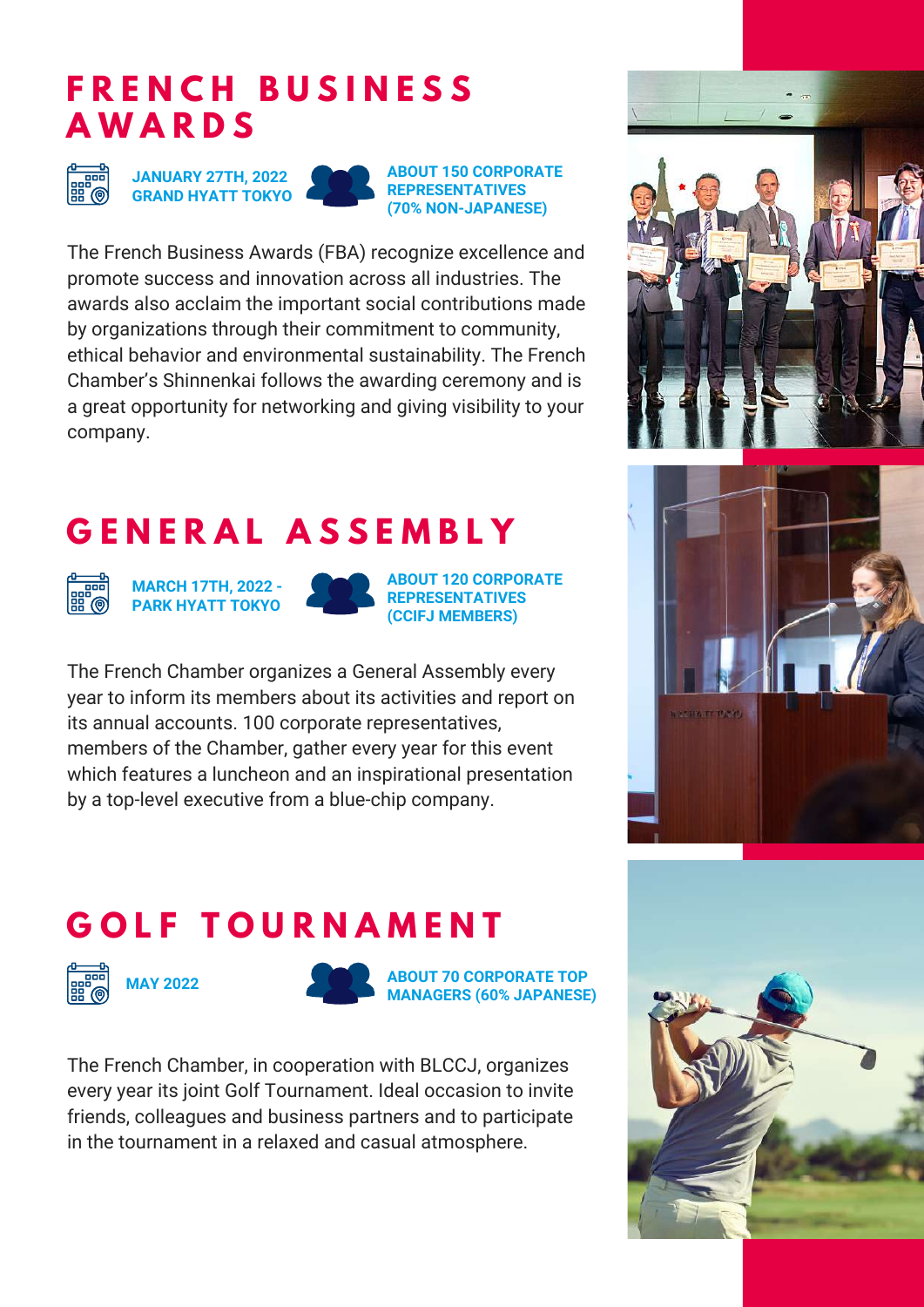#### **F R E N C H B U S I N E S S A W A R D S**



**JANUARY 27TH, 2022 GRAND HYATT TOKYO**

**ABOUT 150 CORPORATE REPRESENTATIVES (70% NON-JAPANESE)**

The French Business Awards (FBA) recognize excellence and promote success and innovation across all industries. The awards also acclaim the important social contributions made by organizations through their commitment to community, ethical behavior and environmental sustainability. The French Chamber's Shinnenkai follows the awarding ceremony and is a great opportunity for networking and giving visibility to your company.

## **G E N E R A L A S S E M B L Y**



**MARCH 17TH, 2022 - PARK HYATT TOKYO**



**ABOUT 120 CORPORATE REPRESENTATIVES (CCIFJ MEMBERS)**

The French Chamber organizes a General Assembly every year to inform its members about its activities and report on its annual accounts. 100 corporate representatives, members of the Chamber, gather every year for this event which features a luncheon and an inspirational presentation by a top-level executive from a blue-chip company.





## **G O L F T O U R N A M E N T**







**ABOUT 70 CORPORATE TOP MANAGERS (60% JAPANESE)**

The French Chamber, in cooperation with BLCCJ, organizes every year its joint Golf Tournament. Ideal occasion to invite friends, colleagues and business partners and to participate in the tournament in a relaxed and casual atmosphere.

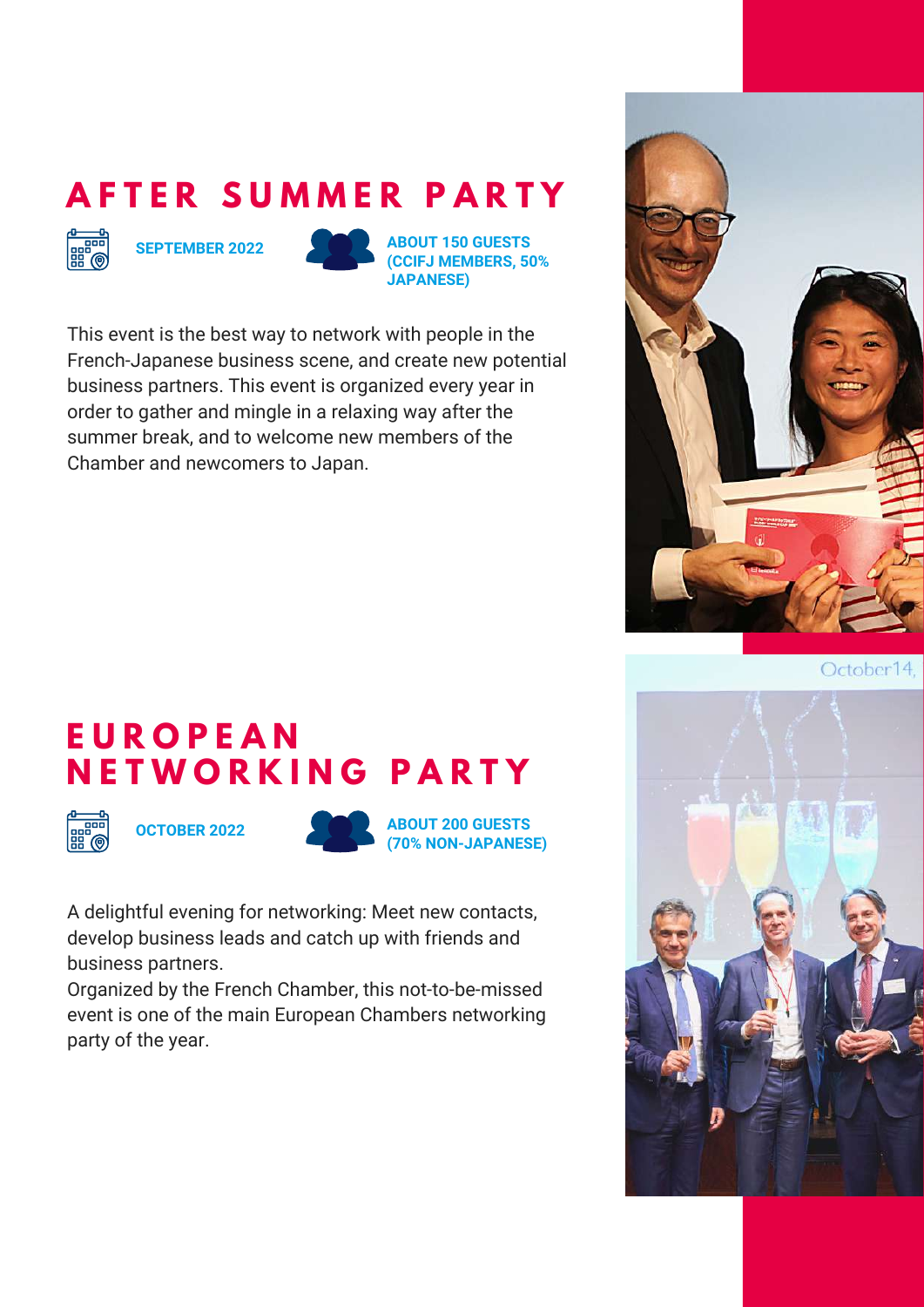### **A F T E R S U M M E R P A R T Y**



**SEPTEMBER 2022 ABOUT 150 GUESTS (CCIFJ MEMBERS, 50% JAPANESE)**

This event is the best way to network with people in the French-Japanese business scene, and create new potential business partners. This event is organized every year in order to gather and mingle in a relaxing way after the summer break, and to welcome new members of the Chamber and newcomers to Japan.



October14.

#### **E U R O P E A N N E T W O R K I N G P A R T Y**





**OCTOBER 2022 ABOUT 200 GUESTS (70% NON-JAPANESE)**

A delightful evening for networking: Meet new contacts, develop business leads and catch up with friends and business partners.

Organized by the French Chamber, this not-to-be-missed event is one of the main European Chambers networking party of the year.

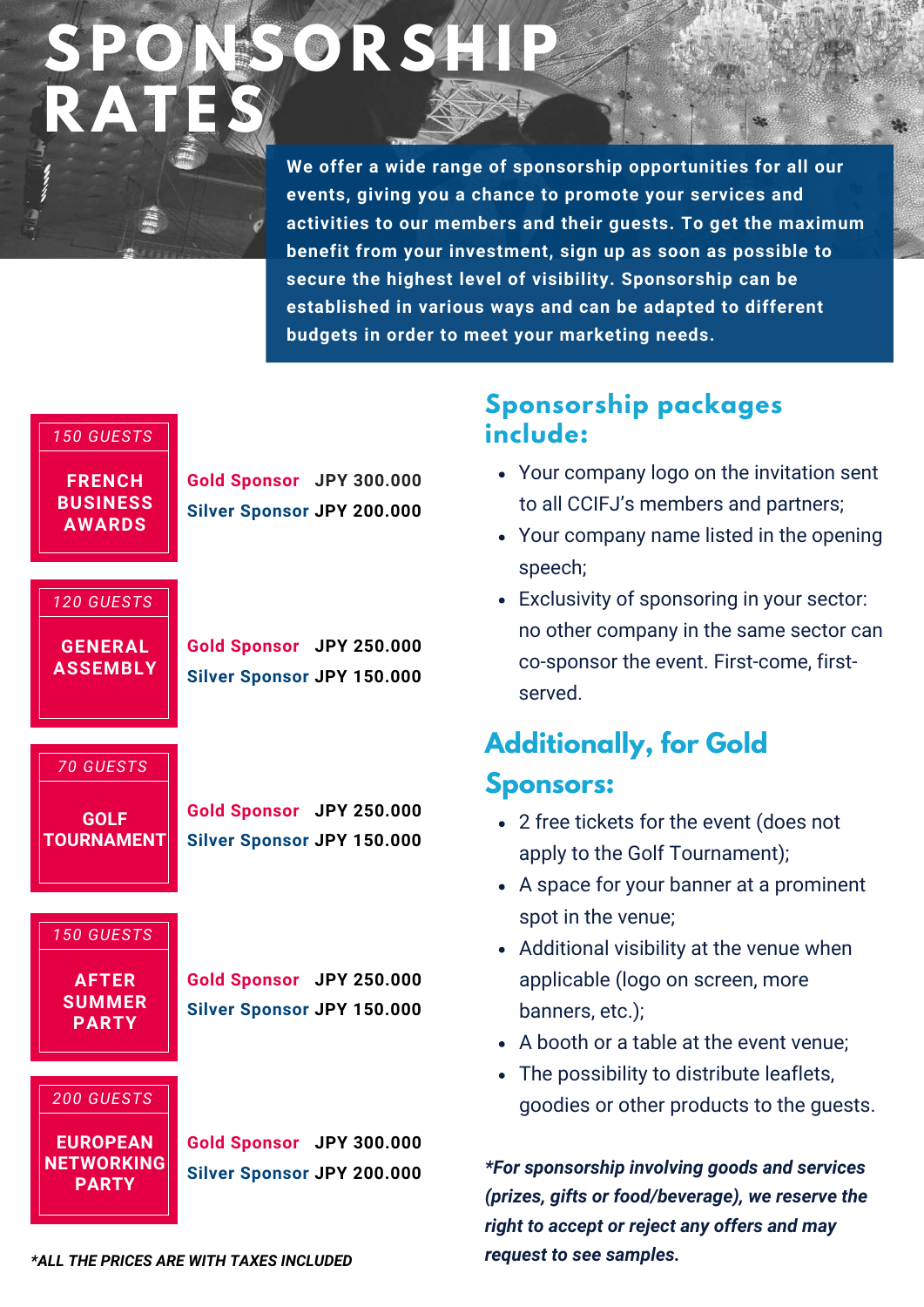## **SP O N S O R S H IP RAT ES**

**We offer a wide range of sponsorship opportunities for all our events, giving you a chance to promote your services and activities to our members and their guests. To get the maximum benefit from your investment, sign up as soon as possible to secure the highest level of visibility. Sponsorship can be established in various ways and can be adapted to different budgets in order to meet your marketing needs.**

#### *150 GUESTS*

**FRENCH BUSINESS AWARDS**

**Gold Sponsor JPY 300.000 Silver Sponsor JPY 200.000**

#### *120 GUESTS*

**GENERAL ASSEMBLY** **Gold Sponsor JPY 250.000 Silver Sponsor JPY 150.000**

*70 GUESTS*

**GOLF TOURNAMENT**

**Gold Sponsor JPY 250.000 Silver Sponsor JPY 150.000**

#### *150 GUESTS*

**AFTER SUMMER PARTY**

**Gold Sponsor JPY 250.000 Silver Sponsor JPY 150.000**

*200 GUESTS*

**EUROPEAN NETWORKING PARTY**

**Gold Sponsor JPY 300.000 Silver Sponsor JPY 200.000**

#### **Sponsorship packages include:**

- Your company logo on the invitation sent to all CCIFJ's members and partners;
- Your company name listed in the opening speech;
- Exclusivity of sponsoring in your sector: no other company in the same sector can co-sponsor the event. First-come, firstserved.

#### **Additionally, for Gold Sponsors:**

- 2 free tickets for the event (does not apply to the Golf Tournament);
- A space for your banner at a prominent spot in the venue;
- Additional visibility at the venue when applicable (logo on screen, more banners, etc.);
- A booth or a table at the event venue;
- The possibility to distribute leaflets, goodies or other products to the guests.

*\*For sponsorship involving goods and services (prizes, gifts or food/beverage), we reserve the right to accept or reject any offers and may request to see samples.*

*\*ALL THE PRICES ARE WITH TAXES INCLUDED*